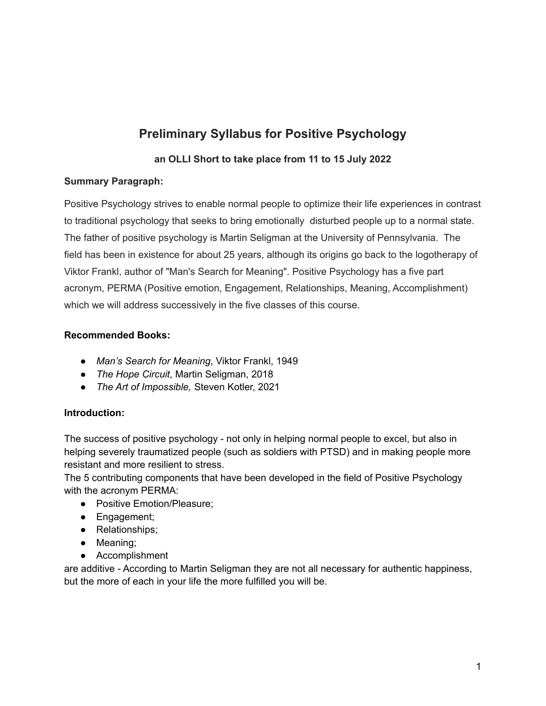# **Preliminary Syllabus for Positive Psychology**

# **an OLLI Short to take place from 11 to 15 July 2022**

# **Summary Paragraph:**

Positive Psychology strives to enable normal people to optimize their life experiences in contrast to traditional psychology that seeks to bring emotionally disturbed people up to a normal state. The father of positive psychology is Martin Seligman at the University of Pennsylvania. The field has been in existence for about 25 years, although its origins go back to the logotherapy of Viktor Frankl, author of "Man's Search for Meaning". Positive Psychology has a five part acronym, PERMA (Positive emotion, Engagement, Relationships, Meaning, Accomplishment) which we will address successively in the five classes of this course.

# **Recommended Books:**

- *Man's Search for Meaning*, Viktor Frankl, 1949
- *The Hope Circuit*, Martin Seligman, 2018
- *The Art of Impossible,* Steven Kotler, 2021

# **Introduction:**

The success of positive psychology - not only in helping normal people to excel, but also in helping severely traumatized people (such as soldiers with PTSD) and in making people more resistant and more resilient to stress.

The 5 contributing components that have been developed in the field of Positive Psychology with the acronym PERMA:

- Positive Emotion/Pleasure;
- Engagement;
- Relationships;
- Meaning;
- Accomplishment

are additive - According to Martin Seligman they are not all necessary for authentic happiness, but the more of each in your life the more fulfilled you will be.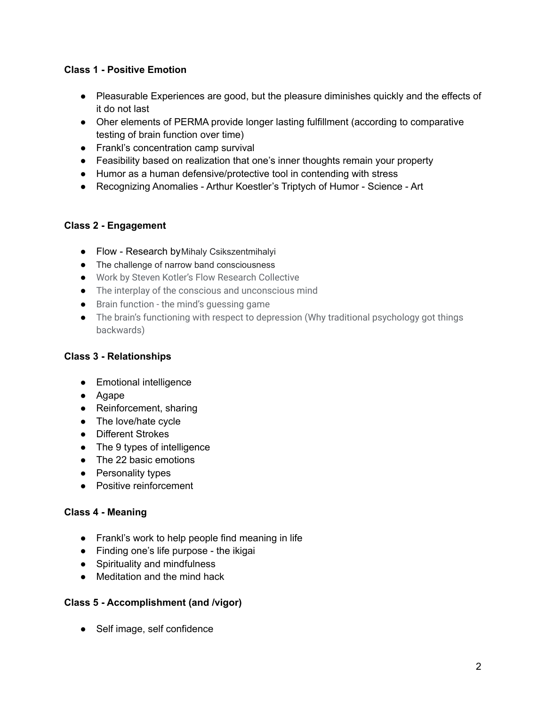# **Class 1 - Positive Emotion**

- Pleasurable Experiences are good, but the pleasure diminishes quickly and the effects of it do not last
- Oher elements of PERMA provide longer lasting fulfillment (according to comparative testing of brain function over time)
- Frankl's concentration camp survival
- Feasibility based on realization that one's inner thoughts remain your property
- Humor as a human defensive/protective tool in contending with stress
- Recognizing Anomalies Arthur Koestler's Triptych of Humor Science Art

# **Class 2 - Engagement**

- Flow Research byMihaly Csikszentmihalyi
- The challenge of narrow band consciousness
- Work by Steven Kotler's Flow Research Collective
- The interplay of the conscious and unconscious mind
- Brain function the mind's guessing game
- The brain's functioning with respect to depression (Why traditional psychology got things backwards)

# **Class 3 - Relationships**

- Emotional intelligence
- Agape
- Reinforcement, sharing
- The love/hate cycle
- Different Strokes
- The 9 types of intelligence
- The 22 basic emotions
- Personality types
- Positive reinforcement

# **Class 4 - Meaning**

- Frankl's work to help people find meaning in life
- Finding one's life purpose the ikigai
- Spirituality and mindfulness
- Meditation and the mind hack

# **Class 5 - Accomplishment (and /vigor)**

● Self image, self confidence